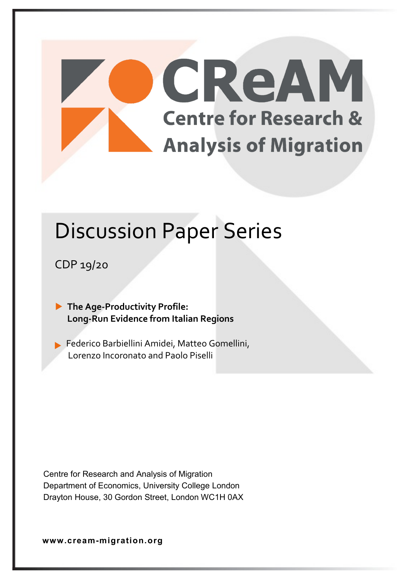# CReAM **Centre for Research & Analysis of Migration**

## Discussion Paper Series

CDP 19/20

**The Age-Productivity Profile: Long-Run Evidence from Italian Regions**

**Federico Barbiellini Amidei, Matteo Gomellini,** Lorenzo Incoronato and Paolo Piselli

Centre for Research and Analysis of Migration Department of Economics, University College London Drayton House, 30 Gordon Street, London WC1H 0AX

**www.cream-migration.org**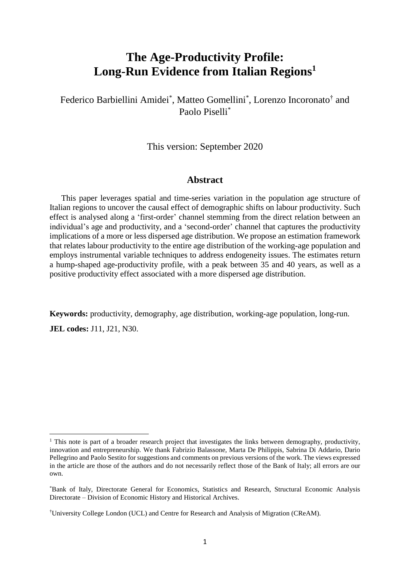### **The Age-Productivity Profile: Long-Run Evidence from Italian Regions<sup>1</sup>**

Federico Barbiellini Amidei\*, Matteo Gomellini\*, Lorenzo Incoronato<sup>†</sup> and Paolo Piselli\*

This version: September 2020

#### **Abstract**

This paper leverages spatial and time-series variation in the population age structure of Italian regions to uncover the causal effect of demographic shifts on labour productivity. Such effect is analysed along a 'first-order' channel stemming from the direct relation between an individual's age and productivity, and a 'second-order' channel that captures the productivity implications of a more or less dispersed age distribution. We propose an estimation framework that relates labour productivity to the entire age distribution of the working-age population and employs instrumental variable techniques to address endogeneity issues. The estimates return a hump-shaped age-productivity profile, with a peak between 35 and 40 years, as well as a positive productivity effect associated with a more dispersed age distribution.

**Keywords:** productivity, demography, age distribution, working-age population, long-run.

**JEL codes:** J11, J21, N30.

**.** 

<sup>&</sup>lt;sup>1</sup> This note is part of a broader research project that investigates the links between demography, productivity, innovation and entrepreneurship. We thank Fabrizio Balassone, Marta De Philippis, Sabrina Di Addario, Dario Pellegrino and Paolo Sestito for suggestions and comments on previous versions of the work. The views expressed in the article are those of the authors and do not necessarily reflect those of the Bank of Italy; all errors are our own.

<sup>\*</sup>Bank of Italy, Directorate General for Economics, Statistics and Research, Structural Economic Analysis Directorate – Division of Economic History and Historical Archives.

<sup>†</sup>University College London (UCL) and Centre for Research and Analysis of Migration (CReAM).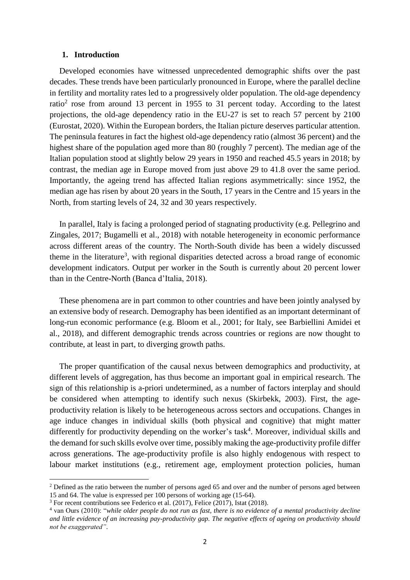#### **1. Introduction**

Developed economies have witnessed unprecedented demographic shifts over the past decades. These trends have been particularly pronounced in Europe, where the parallel decline in fertility and mortality rates led to a progressively older population. The old-age dependency ratio<sup>2</sup> rose from around 13 percent in 1955 to 31 percent today. According to the latest projections, the old-age dependency ratio in the EU-27 is set to reach 57 percent by 2100 (Eurostat, 2020). Within the European borders, the Italian picture deserves particular attention. The peninsula features in fact the highest old-age dependency ratio (almost 36 percent) and the highest share of the population aged more than 80 (roughly 7 percent). The median age of the Italian population stood at slightly below 29 years in 1950 and reached 45.5 years in 2018; by contrast, the median age in Europe moved from just above 29 to 41.8 over the same period. Importantly, the ageing trend has affected Italian regions asymmetrically: since 1952, the median age has risen by about 20 years in the South, 17 years in the Centre and 15 years in the North, from starting levels of 24, 32 and 30 years respectively.

In parallel, Italy is facing a prolonged period of stagnating productivity (e.g. Pellegrino and Zingales, 2017; Bugamelli et al., 2018) with notable heterogeneity in economic performance across different areas of the country. The North-South divide has been a widely discussed theme in the literature<sup>3</sup>, with regional disparities detected across a broad range of economic development indicators. Output per worker in the South is currently about 20 percent lower than in the Centre-North (Banca d'Italia, 2018).

These phenomena are in part common to other countries and have been jointly analysed by an extensive body of research. Demography has been identified as an important determinant of long-run economic performance (e.g. Bloom et al., 2001; for Italy, see Barbiellini Amidei et al., 2018), and different demographic trends across countries or regions are now thought to contribute, at least in part, to diverging growth paths.

The proper quantification of the causal nexus between demographics and productivity, at different levels of aggregation, has thus become an important goal in empirical research. The sign of this relationship is a-priori undetermined, as a number of factors interplay and should be considered when attempting to identify such nexus (Skirbekk, 2003). First, the ageproductivity relation is likely to be heterogeneous across sectors and occupations. Changes in age induce changes in individual skills (both physical and cognitive) that might matter differently for productivity depending on the worker's task<sup>4</sup>. Moreover, individual skills and the demand for such skills evolve over time, possibly making the age-productivity profile differ across generations. The age-productivity profile is also highly endogenous with respect to labour market institutions (e.g., retirement age, employment protection policies, human

**.** 

<sup>&</sup>lt;sup>2</sup> Defined as the ratio between the number of persons aged 65 and over and the number of persons aged between 15 and 64. The value is expressed per 100 persons of working age (15-64).

<sup>3</sup> For recent contributions see Federico et al. (2017), Felice (2017), Istat (2018).

<sup>4</sup> van Ours (2010): "*while older people do not run as fast, there is no evidence of a mental productivity decline and little evidence of an increasing pay-productivity gap. The negative effects of ageing on productivity should not be exaggerated"*.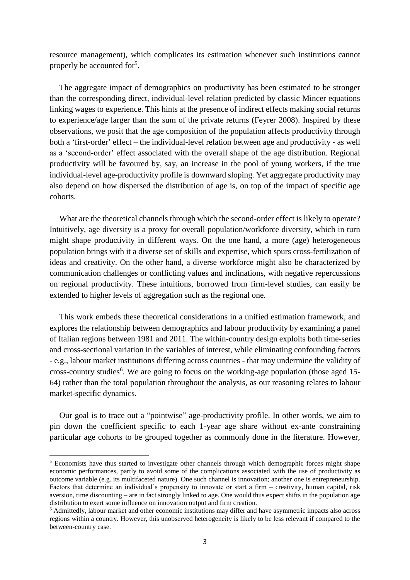resource management), which complicates its estimation whenever such institutions cannot properly be accounted for<sup>5</sup>.

The aggregate impact of demographics on productivity has been estimated to be stronger than the corresponding direct, individual-level relation predicted by classic Mincer equations linking wages to experience. This hints at the presence of indirect effects making social returns to experience/age larger than the sum of the private returns (Feyrer 2008). Inspired by these observations, we posit that the age composition of the population affects productivity through both a 'first-order' effect – the individual-level relation between age and productivity - as well as a 'second-order' effect associated with the overall shape of the age distribution. Regional productivity will be favoured by, say, an increase in the pool of young workers, if the true individual-level age-productivity profile is downward sloping. Yet aggregate productivity may also depend on how dispersed the distribution of age is, on top of the impact of specific age cohorts.

What are the theoretical channels through which the second-order effect is likely to operate? Intuitively, age diversity is a proxy for overall population/workforce diversity, which in turn might shape productivity in different ways. On the one hand, a more (age) heterogeneous population brings with it a diverse set of skills and expertise, which spurs cross-fertilization of ideas and creativity. On the other hand, a diverse workforce might also be characterized by communication challenges or conflicting values and inclinations, with negative repercussions on regional productivity. These intuitions, borrowed from firm-level studies, can easily be extended to higher levels of aggregation such as the regional one.

This work embeds these theoretical considerations in a unified estimation framework, and explores the relationship between demographics and labour productivity by examining a panel of Italian regions between 1981 and 2011. The within-country design exploits both time-series and cross-sectional variation in the variables of interest, while eliminating confounding factors - e.g., labour market institutions differing across countries - that may undermine the validity of cross-country studies<sup>6</sup>. We are going to focus on the working-age population (those aged 15-64) rather than the total population throughout the analysis, as our reasoning relates to labour market-specific dynamics.

Our goal is to trace out a "pointwise" age-productivity profile. In other words, we aim to pin down the coefficient specific to each 1-year age share without ex-ante constraining particular age cohorts to be grouped together as commonly done in the literature. However,

 $\overline{a}$ 

<sup>&</sup>lt;sup>5</sup> Economists have thus started to investigate other channels through which demographic forces might shape economic performances, partly to avoid some of the complications associated with the use of productivity as outcome variable (e.g. its multifaceted nature). One such channel is innovation; another one is entrepreneurship. Factors that determine an individual's propensity to innovate or start a firm – creativity, human capital, risk aversion, time discounting – are in fact strongly linked to age. One would thus expect shifts in the population age distribution to exert some influence on innovation output and firm creation.

<sup>6</sup> Admittedly, labour market and other economic institutions may differ and have asymmetric impacts also across regions within a country. However, this unobserved heterogeneity is likely to be less relevant if compared to the between-country case.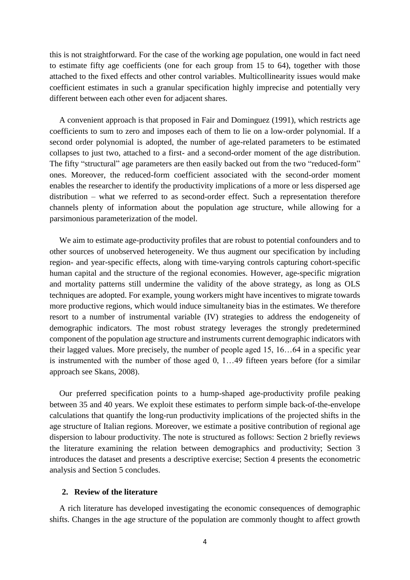this is not straightforward. For the case of the working age population, one would in fact need to estimate fifty age coefficients (one for each group from 15 to 64), together with those attached to the fixed effects and other control variables. Multicollinearity issues would make coefficient estimates in such a granular specification highly imprecise and potentially very different between each other even for adjacent shares.

A convenient approach is that proposed in Fair and Dominguez (1991), which restricts age coefficients to sum to zero and imposes each of them to lie on a low-order polynomial. If a second order polynomial is adopted, the number of age-related parameters to be estimated collapses to just two, attached to a first- and a second-order moment of the age distribution. The fifty "structural" age parameters are then easily backed out from the two "reduced-form" ones. Moreover, the reduced-form coefficient associated with the second-order moment enables the researcher to identify the productivity implications of a more or less dispersed age distribution – what we referred to as second-order effect. Such a representation therefore channels plenty of information about the population age structure, while allowing for a parsimonious parameterization of the model.

We aim to estimate age-productivity profiles that are robust to potential confounders and to other sources of unobserved heterogeneity. We thus augment our specification by including region- and year-specific effects, along with time-varying controls capturing cohort-specific human capital and the structure of the regional economies. However, age-specific migration and mortality patterns still undermine the validity of the above strategy, as long as OLS techniques are adopted. For example, young workers might have incentives to migrate towards more productive regions, which would induce simultaneity bias in the estimates. We therefore resort to a number of instrumental variable (IV) strategies to address the endogeneity of demographic indicators. The most robust strategy leverages the strongly predetermined component of the population age structure and instruments current demographic indicators with their lagged values. More precisely, the number of people aged 15, 16…64 in a specific year is instrumented with the number of those aged 0, 1…49 fifteen years before (for a similar approach see Skans, 2008).

Our preferred specification points to a hump-shaped age-productivity profile peaking between 35 and 40 years. We exploit these estimates to perform simple back-of-the-envelope calculations that quantify the long-run productivity implications of the projected shifts in the age structure of Italian regions. Moreover, we estimate a positive contribution of regional age dispersion to labour productivity. The note is structured as follows: Section 2 briefly reviews the literature examining the relation between demographics and productivity; Section 3 introduces the dataset and presents a descriptive exercise; Section 4 presents the econometric analysis and Section 5 concludes.

#### **2. Review of the literature**

A rich literature has developed investigating the economic consequences of demographic shifts. Changes in the age structure of the population are commonly thought to affect growth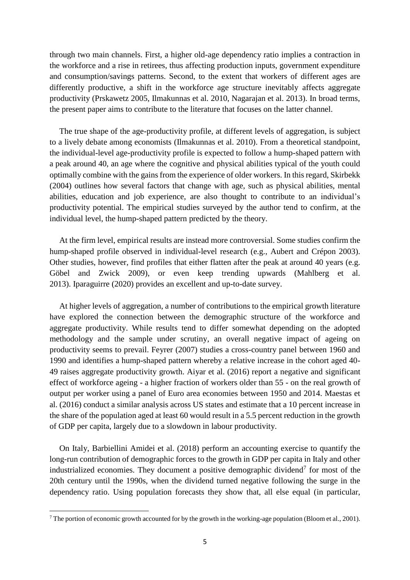through two main channels. First, a higher old-age dependency ratio implies a contraction in the workforce and a rise in retirees, thus affecting production inputs, government expenditure and consumption/savings patterns. Second, to the extent that workers of different ages are differently productive, a shift in the workforce age structure inevitably affects aggregate productivity (Prskawetz 2005, Ilmakunnas et al. 2010, Nagarajan et al. 2013). In broad terms, the present paper aims to contribute to the literature that focuses on the latter channel.

The true shape of the age-productivity profile, at different levels of aggregation, is subject to a lively debate among economists (Ilmakunnas et al. 2010). From a theoretical standpoint, the individual-level age-productivity profile is expected to follow a hump-shaped pattern with a peak around 40, an age where the cognitive and physical abilities typical of the youth could optimally combine with the gains from the experience of older workers. In this regard, Skirbekk (2004) outlines how several factors that change with age, such as physical abilities, mental abilities, education and job experience, are also thought to contribute to an individual's productivity potential. The empirical studies surveyed by the author tend to confirm, at the individual level, the hump-shaped pattern predicted by the theory.

At the firm level, empirical results are instead more controversial. Some studies confirm the hump-shaped profile observed in individual-level research (e.g., Aubert and Crépon 2003). Other studies, however, find profiles that either flatten after the peak at around 40 years (e.g. Göbel and Zwick 2009), or even keep trending upwards (Mahlberg et al. 2013). Iparaguirre (2020) provides an excellent and up-to-date survey.

At higher levels of aggregation, a number of contributions to the empirical growth literature have explored the connection between the demographic structure of the workforce and aggregate productivity. While results tend to differ somewhat depending on the adopted methodology and the sample under scrutiny, an overall negative impact of ageing on productivity seems to prevail. Feyrer (2007) studies a cross-country panel between 1960 and 1990 and identifies a hump-shaped pattern whereby a relative increase in the cohort aged 40- 49 raises aggregate productivity growth. Aiyar et al. (2016) report a negative and significant effect of workforce ageing - a higher fraction of workers older than 55 - on the real growth of output per worker using a panel of Euro area economies between 1950 and 2014. Maestas et al. (2016) conduct a similar analysis across US states and estimate that a 10 percent increase in the share of the population aged at least 60 would result in a 5.5 percent reduction in the growth of GDP per capita, largely due to a slowdown in labour productivity.

On Italy, Barbiellini Amidei et al. (2018) perform an accounting exercise to quantify the long-run contribution of demographic forces to the growth in GDP per capita in Italy and other industrialized economies. They document a positive demographic dividend<sup>7</sup> for most of the 20th century until the 1990s, when the dividend turned negative following the surge in the dependency ratio. Using population forecasts they show that, all else equal (in particular,

1

 $7$  The portion of economic growth accounted for by the growth in the working-age population (Bloom et al., 2001).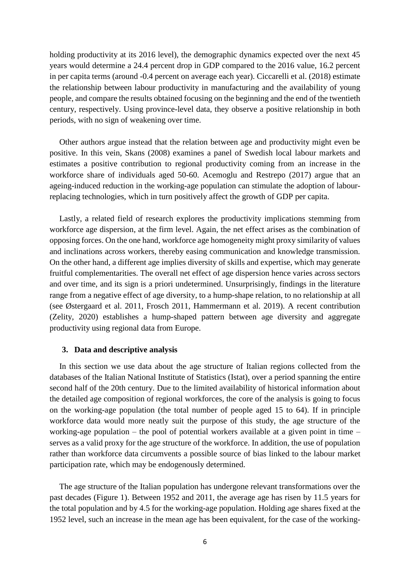holding productivity at its 2016 level), the demographic dynamics expected over the next 45 years would determine a 24.4 percent drop in GDP compared to the 2016 value, 16.2 percent in per capita terms (around -0.4 percent on average each year). Ciccarelli et al. (2018) estimate the relationship between labour productivity in manufacturing and the availability of young people, and compare the results obtained focusing on the beginning and the end of the twentieth century, respectively. Using province-level data, they observe a positive relationship in both periods, with no sign of weakening over time.

Other authors argue instead that the relation between age and productivity might even be positive. In this vein, Skans (2008) examines a panel of Swedish local labour markets and estimates a positive contribution to regional productivity coming from an increase in the workforce share of individuals aged 50-60. Acemoglu and Restrepo (2017) argue that an ageing-induced reduction in the working-age population can stimulate the adoption of labourreplacing technologies, which in turn positively affect the growth of GDP per capita.

Lastly, a related field of research explores the productivity implications stemming from workforce age dispersion, at the firm level. Again, the net effect arises as the combination of opposing forces. On the one hand, workforce age homogeneity might proxy similarity of values and inclinations across workers, thereby easing communication and knowledge transmission. On the other hand, a different age implies diversity of skills and expertise, which may generate fruitful complementarities. The overall net effect of age dispersion hence varies across sectors and over time, and its sign is a priori undetermined. Unsurprisingly, findings in the literature range from a negative effect of age diversity, to a hump-shape relation, to no relationship at all (see Østergaard et al. 2011, Frosch 2011, Hammermann et al. 2019). A recent contribution (Zelity, 2020) establishes a hump-shaped pattern between age diversity and aggregate productivity using regional data from Europe.

#### **3. Data and descriptive analysis**

In this section we use data about the age structure of Italian regions collected from the databases of the Italian National Institute of Statistics (Istat), over a period spanning the entire second half of the 20th century. Due to the limited availability of historical information about the detailed age composition of regional workforces, the core of the analysis is going to focus on the working-age population (the total number of people aged 15 to 64). If in principle workforce data would more neatly suit the purpose of this study, the age structure of the working-age population – the pool of potential workers available at a given point in time – serves as a valid proxy for the age structure of the workforce. In addition, the use of population rather than workforce data circumvents a possible source of bias linked to the labour market participation rate, which may be endogenously determined.

The age structure of the Italian population has undergone relevant transformations over the past decades (Figure 1). Between 1952 and 2011, the average age has risen by 11.5 years for the total population and by 4.5 for the working-age population. Holding age shares fixed at the 1952 level, such an increase in the mean age has been equivalent, for the case of the working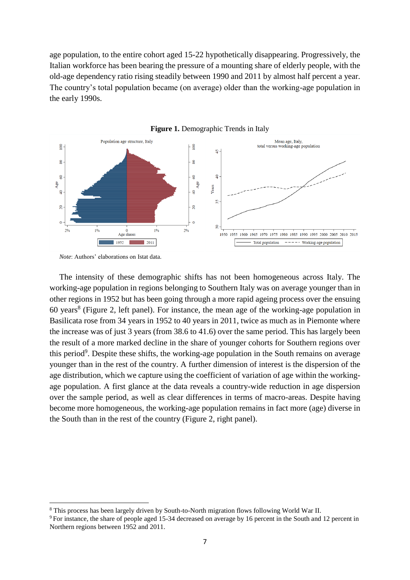age population, to the entire cohort aged 15-22 hypothetically disappearing. Progressively, the Italian workforce has been bearing the pressure of a mounting share of elderly people, with the old-age dependency ratio rising steadily between 1990 and 2011 by almost half percent a year. The country's total population became (on average) older than the working-age population in the early 1990s.





 $\overline{a}$ 

The intensity of these demographic shifts has not been homogeneous across Italy. The working-age population in regions belonging to Southern Italy was on average younger than in other regions in 1952 but has been going through a more rapid ageing process over the ensuing 60 years 8 (Figure 2, left panel). For instance, the mean age of the working-age population in Basilicata rose from 34 years in 1952 to 40 years in 2011, twice as much as in Piemonte where the increase was of just 3 years (from 38.6 to 41.6) over the same period. This has largely been the result of a more marked decline in the share of younger cohorts for Southern regions over this period<sup>9</sup>. Despite these shifts, the working-age population in the South remains on average younger than in the rest of the country. A further dimension of interest is the dispersion of the age distribution, which we capture using the coefficient of variation of age within the workingage population. A first glance at the data reveals a country-wide reduction in age dispersion over the sample period, as well as clear differences in terms of macro-areas. Despite having become more homogeneous, the working-age population remains in fact more (age) diverse in the South than in the rest of the country (Figure 2, right panel).

*Note*: Authors' elaborations on Istat data.

<sup>8</sup> This process has been largely driven by South-to-North migration flows following World War II.

<sup>&</sup>lt;sup>9</sup> For instance, the share of people aged 15-34 decreased on average by 16 percent in the South and 12 percent in Northern regions between 1952 and 2011.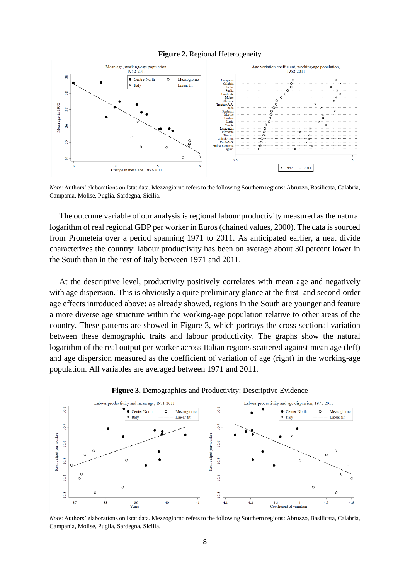#### **Figure 2.** Regional Heterogeneity



*Note*: Authors' elaborations on Istat data. Mezzogiorno refers to the following Southern regions: Abruzzo, Basilicata, Calabria, Campania, Molise, Puglia, Sardegna, Sicilia.

The outcome variable of our analysis is regional labour productivity measured as the natural logarithm of real regional GDP per worker in Euros (chained values, 2000). The data is sourced from Prometeia over a period spanning 1971 to 2011. As anticipated earlier, a neat divide characterizes the country: labour productivity has been on average about 30 percent lower in the South than in the rest of Italy between 1971 and 2011.

At the descriptive level, productivity positively correlates with mean age and negatively with age dispersion. This is obviously a quite preliminary glance at the first- and second-order age effects introduced above: as already showed, regions in the South are younger and feature a more diverse age structure within the working-age population relative to other areas of the country. These patterns are showed in Figure 3, which portrays the cross-sectional variation between these demographic traits and labour productivity. The graphs show the natural logarithm of the real output per worker across Italian regions scattered against mean age (left) and age dispersion measured as the coefficient of variation of age (right) in the working-age population. All variables are averaged between 1971 and 2011.



**Figure 3.** Demographics and Productivity: Descriptive Evidence

*Note*: Authors' elaborations on Istat data. Mezzogiorno refers to the following Southern regions: Abruzzo, Basilicata, Calabria, Campania, Molise, Puglia, Sardegna, Sicilia.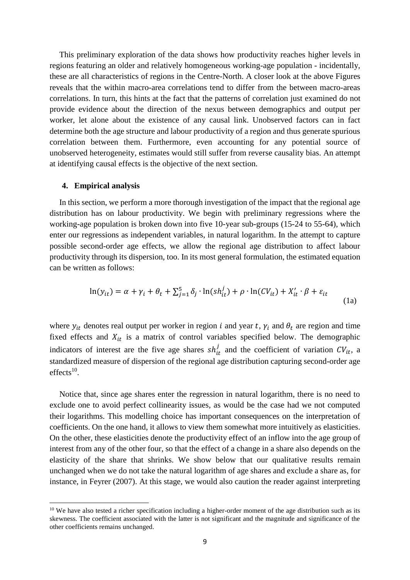This preliminary exploration of the data shows how productivity reaches higher levels in regions featuring an older and relatively homogeneous working-age population - incidentally, these are all characteristics of regions in the Centre-North. A closer look at the above Figures reveals that the within macro-area correlations tend to differ from the between macro-areas correlations. In turn, this hints at the fact that the patterns of correlation just examined do not provide evidence about the direction of the nexus between demographics and output per worker, let alone about the existence of any causal link. Unobserved factors can in fact determine both the age structure and labour productivity of a region and thus generate spurious correlation between them. Furthermore, even accounting for any potential source of unobserved heterogeneity, estimates would still suffer from reverse causality bias. An attempt at identifying causal effects is the objective of the next section.

#### **4. Empirical analysis**

 $\overline{a}$ 

In this section, we perform a more thorough investigation of the impact that the regional age distribution has on labour productivity. We begin with preliminary regressions where the working-age population is broken down into five 10-year sub-groups (15-24 to 55-64), which enter our regressions as independent variables, in natural logarithm. In the attempt to capture possible second-order age effects, we allow the regional age distribution to affect labour productivity through its dispersion, too. In its most general formulation, the estimated equation can be written as follows:

$$
\ln(y_{it}) = \alpha + \gamma_i + \theta_t + \sum_{j=1}^{5} \delta_j \cdot \ln(sh_{it}^j) + \rho \cdot \ln(CV_{it}) + X_{it}^{\prime} \cdot \beta + \varepsilon_{it}
$$
\n(1a)

where  $y_{it}$  denotes real output per worker in region *i* and year t,  $\gamma_i$  and  $\theta_t$  are region and time fixed effects and  $X_{it}$  is a matrix of control variables specified below. The demographic indicators of interest are the five age shares  $sh_{it}^{j}$  and the coefficient of variation  $CV_{it}$ , a standardized measure of dispersion of the regional age distribution capturing second-order age effects<sup>10</sup>.

Notice that, since age shares enter the regression in natural logarithm, there is no need to exclude one to avoid perfect collinearity issues, as would be the case had we not computed their logarithms. This modelling choice has important consequences on the interpretation of coefficients. On the one hand, it allows to view them somewhat more intuitively as elasticities. On the other, these elasticities denote the productivity effect of an inflow into the age group of interest from any of the other four, so that the effect of a change in a share also depends on the elasticity of the share that shrinks. We show below that our qualitative results remain unchanged when we do not take the natural logarithm of age shares and exclude a share as, for instance, in Feyrer (2007). At this stage, we would also caution the reader against interpreting

 $10$  We have also tested a richer specification including a higher-order moment of the age distribution such as its skewness. The coefficient associated with the latter is not significant and the magnitude and significance of the other coefficients remains unchanged.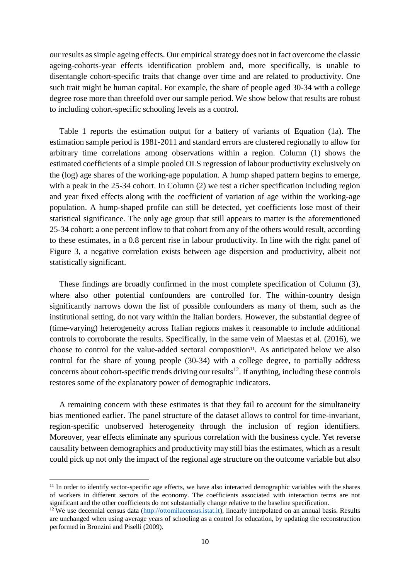our results as simple ageing effects. Our empirical strategy does not in fact overcome the classic ageing-cohorts-year effects identification problem and, more specifically, is unable to disentangle cohort-specific traits that change over time and are related to productivity. One such trait might be human capital. For example, the share of people aged 30-34 with a college degree rose more than threefold over our sample period. We show below that results are robust to including cohort-specific schooling levels as a control.

Table 1 reports the estimation output for a battery of variants of Equation (1a). The estimation sample period is 1981-2011 and standard errors are clustered regionally to allow for arbitrary time correlations among observations within a region. Column (1) shows the estimated coefficients of a simple pooled OLS regression of labour productivity exclusively on the (log) age shares of the working-age population. A hump shaped pattern begins to emerge, with a peak in the 25-34 cohort. In Column (2) we test a richer specification including region and year fixed effects along with the coefficient of variation of age within the working-age population. A hump-shaped profile can still be detected, yet coefficients lose most of their statistical significance. The only age group that still appears to matter is the aforementioned 25-34 cohort: a one percent inflow to that cohort from any of the others would result, according to these estimates, in a 0.8 percent rise in labour productivity. In line with the right panel of Figure 3, a negative correlation exists between age dispersion and productivity, albeit not statistically significant.

These findings are broadly confirmed in the most complete specification of Column (3), where also other potential confounders are controlled for. The within-country design significantly narrows down the list of possible confounders as many of them, such as the institutional setting, do not vary within the Italian borders. However, the substantial degree of (time-varying) heterogeneity across Italian regions makes it reasonable to include additional controls to corroborate the results. Specifically, in the same vein of Maestas et al. (2016), we choose to control for the value-added sectoral composition<sup>11</sup>. As anticipated below we also control for the share of young people (30-34) with a college degree, to partially address concerns about cohort-specific trends driving our results<sup>12</sup>. If anything, including these controls restores some of the explanatory power of demographic indicators.

A remaining concern with these estimates is that they fail to account for the simultaneity bias mentioned earlier. The panel structure of the dataset allows to control for time-invariant, region-specific unobserved heterogeneity through the inclusion of region identifiers. Moreover, year effects eliminate any spurious correlation with the business cycle. Yet reverse causality between demographics and productivity may still bias the estimates, which as a result could pick up not only the impact of the regional age structure on the outcome variable but also

**.** 

<sup>&</sup>lt;sup>11</sup> In order to identify sector-specific age effects, we have also interacted demographic variables with the shares of workers in different sectors of the economy. The coefficients associated with interaction terms are not significant and the other coefficients do not substantially change relative to the baseline specification.

 $12$  We use decennial census data [\(http://ottomilacensus.istat.it\)](http://ottomilacensus.istat.it/), linearly interpolated on an annual basis. Results are unchanged when using average years of schooling as a control for education, by updating the reconstruction performed in Bronzini and Piselli (2009).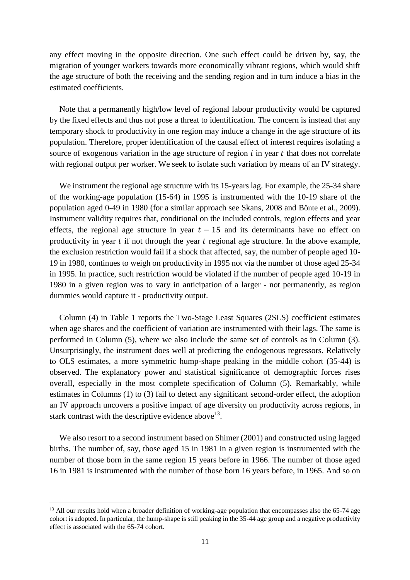any effect moving in the opposite direction. One such effect could be driven by, say, the migration of younger workers towards more economically vibrant regions, which would shift the age structure of both the receiving and the sending region and in turn induce a bias in the estimated coefficients.

Note that a permanently high/low level of regional labour productivity would be captured by the fixed effects and thus not pose a threat to identification. The concern is instead that any temporary shock to productivity in one region may induce a change in the age structure of its population. Therefore, proper identification of the causal effect of interest requires isolating a source of exogenous variation in the age structure of region  $i$  in year  $t$  that does not correlate with regional output per worker. We seek to isolate such variation by means of an IV strategy.

We instrument the regional age structure with its 15-years lag. For example, the 25-34 share of the working-age population (15-64) in 1995 is instrumented with the 10-19 share of the population aged 0-49 in 1980 (for a similar approach see Skans, 2008 and Bönte et al., 2009). Instrument validity requires that, conditional on the included controls, region effects and year effects, the regional age structure in year  $t - 15$  and its determinants have no effect on productivity in year  $t$  if not through the year  $t$  regional age structure. In the above example, the exclusion restriction would fail if a shock that affected, say, the number of people aged 10- 19 in 1980, continues to weigh on productivity in 1995 not via the number of those aged 25-34 in 1995. In practice, such restriction would be violated if the number of people aged 10-19 in 1980 in a given region was to vary in anticipation of a larger - not permanently, as region dummies would capture it - productivity output.

Column (4) in Table 1 reports the Two-Stage Least Squares (2SLS) coefficient estimates when age shares and the coefficient of variation are instrumented with their lags. The same is performed in Column (5), where we also include the same set of controls as in Column (3). Unsurprisingly, the instrument does well at predicting the endogenous regressors. Relatively to OLS estimates, a more symmetric hump-shape peaking in the middle cohort (35-44) is observed. The explanatory power and statistical significance of demographic forces rises overall, especially in the most complete specification of Column (5). Remarkably, while estimates in Columns (1) to (3) fail to detect any significant second-order effect, the adoption an IV approach uncovers a positive impact of age diversity on productivity across regions, in stark contrast with the descriptive evidence above<sup>13</sup>.

We also resort to a second instrument based on Shimer (2001) and constructed using lagged births. The number of, say, those aged 15 in 1981 in a given region is instrumented with the number of those born in the same region 15 years before in 1966. The number of those aged 16 in 1981 is instrumented with the number of those born 16 years before, in 1965. And so on

 $\overline{a}$ 

<sup>&</sup>lt;sup>13</sup> All our results hold when a broader definition of working-age population that encompasses also the 65-74 age cohort is adopted. In particular, the hump-shape is still peaking in the 35-44 age group and a negative productivity effect is associated with the 65-74 cohort.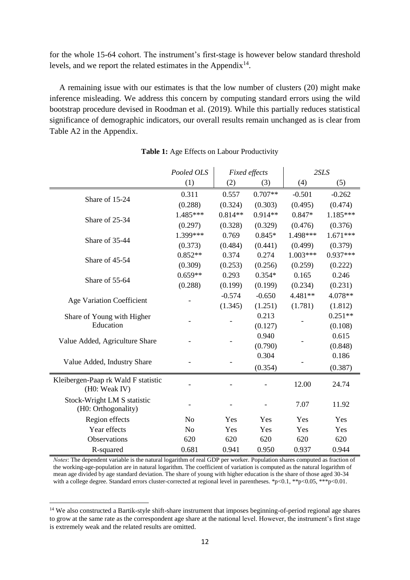for the whole 15-64 cohort. The instrument's first-stage is however below standard threshold levels, and we report the related estimates in the Appendix<sup>14</sup>.

A remaining issue with our estimates is that the low number of clusters (20) might make inference misleading. We address this concern by computing standard errors using the wild bootstrap procedure devised in Roodman et al. (2019). While this partially reduces statistical significance of demographic indicators, our overall results remain unchanged as is clear from Table A2 in the Appendix.

|                                                      | Pooled OLS     | <b>Fixed effects</b> |           | 2SLS     |            |
|------------------------------------------------------|----------------|----------------------|-----------|----------|------------|
|                                                      | (1)            | (2)                  | (3)       | (4)      | (5)        |
| Share of 15-24                                       | 0.311          | 0.557                | $0.707**$ | $-0.501$ | $-0.262$   |
|                                                      | (0.288)        | (0.324)              | (0.303)   | (0.495)  | (0.474)    |
| Share of 25-34                                       | 1.485***       | $0.814**$            | $0.914**$ | $0.847*$ | 1.185***   |
|                                                      | (0.297)        | (0.328)              | (0.329)   | (0.476)  | (0.376)    |
| Share of 35-44                                       | 1.399***       | 0.769                | $0.845*$  | 1.498*** | $1.671***$ |
|                                                      | (0.373)        | (0.484)              | (0.441)   | (0.499)  | (0.379)    |
| Share of 45-54                                       | $0.852**$      | 0.374                | 0.274     | 1.003*** | 0.937***   |
|                                                      | (0.309)        | (0.253)              | (0.256)   | (0.259)  | (0.222)    |
| Share of 55-64                                       | $0.659**$      | 0.293                | $0.354*$  | 0.165    | 0.246      |
|                                                      | (0.288)        | (0.199)              | (0.199)   | (0.234)  | (0.231)    |
|                                                      |                | $-0.574$             | $-0.650$  | 4.481**  | 4.078**    |
| <b>Age Variation Coefficient</b>                     |                | (1.345)              | (1.251)   | (1.781)  | (1.812)    |
| Share of Young with Higher                           |                |                      | 0.213     |          | $0.251**$  |
| Education                                            |                |                      | (0.127)   |          | (0.108)    |
| Value Added, Agriculture Share                       |                |                      | 0.940     |          | 0.615      |
|                                                      |                |                      | (0.790)   |          | (0.848)    |
| Value Added, Industry Share                          |                |                      | 0.304     |          | 0.186      |
|                                                      |                |                      | (0.354)   |          | (0.387)    |
| Kleibergen-Paap rk Wald F statistic<br>(H0: Weak IV) |                |                      |           | 12.00    | 24.74      |
| Stock-Wright LM S statistic<br>(H0: Orthogonality)   |                |                      |           | 7.07     | 11.92      |
| Region effects                                       | N <sub>o</sub> | Yes                  | Yes       | Yes      | Yes        |
| Year effects                                         | N <sub>o</sub> | Yes                  | Yes       | Yes      | Yes        |
| Observations                                         | 620            | 620                  | 620       | 620      | 620        |
| R-squared                                            | 0.681          | 0.941                | 0.950     | 0.937    | 0.944      |

**Table 1:** Age Effects on Labour Productivity

*Notes*: The dependent variable is the natural logarithm of real GDP per worker. Population shares computed as fraction of the working-age-population are in natural logarithm. The coefficient of variation is computed as the natural logarithm of mean age divided by age standard deviation. The share of young with higher education is the share of those aged 30-34 with a college degree. Standard errors cluster-corrected at regional level in parentheses. \*p<0.1, \*\*p<0.05, \*\*\*p<0.01.

 $\overline{a}$ 

<sup>&</sup>lt;sup>14</sup> We also constructed a Bartik-style shift-share instrument that imposes beginning-of-period regional age shares to grow at the same rate as the correspondent age share at the national level. However, the instrument's first stage is extremely weak and the related results are omitted.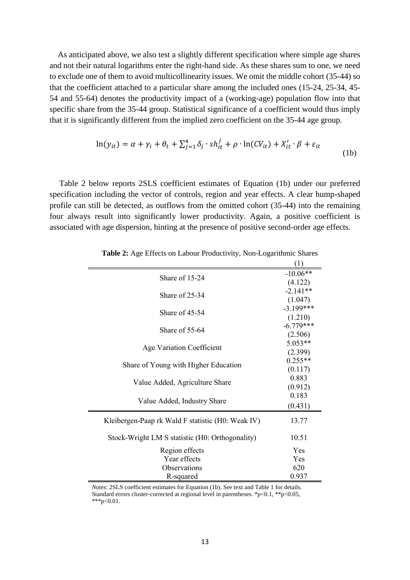As anticipated above, we also test a slightly different specification where simple age shares and not their natural logarithms enter the right-hand side. As these shares sum to one, we need to exclude one of them to avoid multicollinearity issues. We omit the middle cohort (35-44) so that the coefficient attached to a particular share among the included ones (15-24, 25-34, 45- 54 and 55-64) denotes the productivity impact of a (working-age) population flow into that specific share from the 35-44 group. Statistical significance of a coefficient would thus imply that it is significantly different from the implied zero coefficient on the 35-44 age group.

$$
\ln(y_{it}) = \alpha + \gamma_i + \theta_t + \sum_{j=1}^4 \delta_j \cdot sh_{it}^j + \rho \cdot \ln(CV_{it}) + X_{it}' \cdot \beta + \varepsilon_{it}
$$
\n(1b)

Table 2 below reports 2SLS coefficient estimates of Equation (1b) under our preferred specification including the vector of controls, region and year effects. A clear hump-shaped profile can still be detected, as outflows from the omitted cohort (35-44) into the remaining four always result into significantly lower productivity. Again, a positive coefficient is associated with age dispersion, hinting at the presence of positive second-order age effects.

|                                                   | (1)         |
|---------------------------------------------------|-------------|
|                                                   | $-10.06**$  |
| Share of 15-24                                    | (4.122)     |
| Share of 25-34                                    | $-2.141**$  |
|                                                   | (1.047)     |
| Share of 45-54                                    | $-3.199***$ |
|                                                   | (1.210)     |
| Share of 55-64                                    | $-6.779***$ |
|                                                   | (2.506)     |
| Age Variation Coefficient                         | 5.053**     |
|                                                   | (2.399)     |
| Share of Young with Higher Education              | $0.255**$   |
|                                                   | (0.117)     |
| Value Added, Agriculture Share                    | 0.883       |
|                                                   | (0.912)     |
| Value Added, Industry Share                       | 0.183       |
|                                                   | (0.431)     |
| Kleibergen-Paap rk Wald F statistic (H0: Weak IV) | 13.77       |
|                                                   |             |
| Stock-Wright LM S statistic (H0: Orthogonality)   | 10.51       |
|                                                   |             |
| Region effects                                    | Yes         |
| Year effects                                      | Yes         |
| Observations                                      | 620         |
| R-squared                                         | 0.937       |

**Table 2:** Age Effects on Labour Productivity, Non-Logarithmic Shares

*Notes*: 2SLS coefficient estimates for Equation (1b). See text and Table 1 for details. Standard errors cluster-corrected at regional level in parentheses. \*p<0.1, \*\*p<0.05, \*\*\*p<0.01.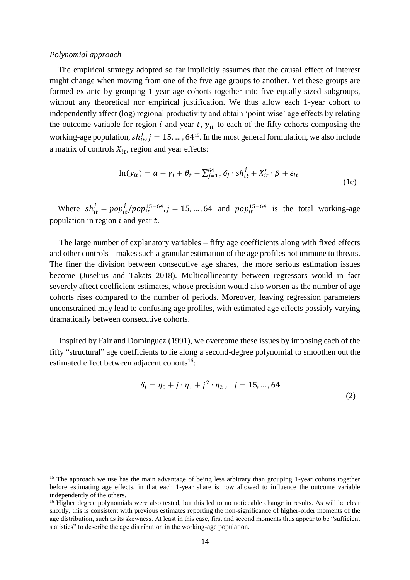#### *Polynomial approach*

**.** 

 The empirical strategy adopted so far implicitly assumes that the causal effect of interest might change when moving from one of the five age groups to another. Yet these groups are formed ex-ante by grouping 1-year age cohorts together into five equally-sized subgroups, without any theoretical nor empirical justification. We thus allow each 1-year cohort to independently affect (log) regional productivity and obtain 'point-wise' age effects by relating the outcome variable for region *i* and year *t*,  $y_{it}$  to each of the fifty cohorts composing the working-age population,  $sh_{it}^{j}$ ,  $j = 15, ..., 64^{15}$ . In the most general formulation, we also include a matrix of controls  $X_{it}$ , region and year effects:

$$
\ln(y_{it}) = \alpha + \gamma_i + \theta_t + \sum_{j=15}^{64} \delta_j \cdot sh_{it}^j + X_{it}' \cdot \beta + \varepsilon_{it}
$$
\n(1c)

Where  $sh_{it}^j = pop_{it}^j / pop_{it}^{15-64}$ ,  $j = 15, ..., 64$  and  $pop_{it}^{15-64}$  is the total working-age population in region  $i$  and year  $t$ .

The large number of explanatory variables – fifty age coefficients along with fixed effects and other controls – makes such a granular estimation of the age profiles not immune to threats. The finer the division between consecutive age shares, the more serious estimation issues become (Juselius and Takats 2018). Multicollinearity between regressors would in fact severely affect coefficient estimates, whose precision would also worsen as the number of age cohorts rises compared to the number of periods. Moreover, leaving regression parameters unconstrained may lead to confusing age profiles, with estimated age effects possibly varying dramatically between consecutive cohorts.

Inspired by Fair and Dominguez (1991), we overcome these issues by imposing each of the fifty "structural" age coefficients to lie along a second-degree polynomial to smoothen out the estimated effect between adjacent cohorts $16$ :

$$
\delta_j = \eta_0 + j \cdot \eta_1 + j^2 \cdot \eta_2, \ \ j = 15, \dots, 64
$$
 (2)

<sup>&</sup>lt;sup>15</sup> The approach we use has the main advantage of being less arbitrary than grouping 1-year cohorts together before estimating age effects, in that each 1-year share is now allowed to influence the outcome variable independently of the others.

<sup>&</sup>lt;sup>16</sup> Higher degree polynomials were also tested, but this led to no noticeable change in results. As will be clear shortly, this is consistent with previous estimates reporting the non-significance of higher-order moments of the age distribution, such as its skewness. At least in this case, first and second moments thus appear to be "sufficient statistics" to describe the age distribution in the working-age population.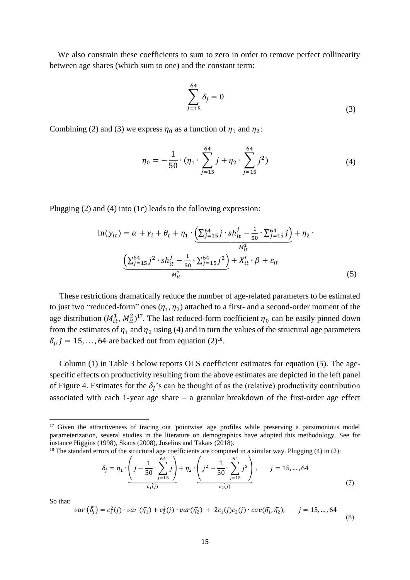We also constrain these coefficients to sum to zero in order to remove perfect collinearity between age shares (which sum to one) and the constant term:

$$
\sum_{j=15}^{64} \delta_j = 0 \tag{3}
$$

Combining (2) and (3) we express  $\eta_0$  as a function of  $\eta_1$  and  $\eta_2$ :

$$
\eta_0 = -\frac{1}{50} \cdot (\eta_1 \cdot \sum_{j=15}^{64} j + \eta_2 \cdot \sum_{j=15}^{64} j^2)
$$
 (4)

Plugging (2) and (4) into (1c) leads to the following expression:

$$
\ln(y_{it}) = \alpha + \gamma_i + \theta_t + \eta_1 \cdot \underbrace{\left(\sum_{j=15}^{64} j \cdot sh_{it}^j - \frac{1}{50} \cdot \sum_{j=15}^{64} j\right)}_{M_{it}^1} + \eta_2 \cdot \underbrace{\left(\sum_{j=15}^{64} j^2 \cdot sh_{it}^j - \frac{1}{50} \cdot \sum_{j=15}^{64} j^2\right)}_{M_{it}^2} + X_{it}' \cdot \beta + \varepsilon_{it}
$$
\n(5)

These restrictions dramatically reduce the number of age-related parameters to be estimated to just two "reduced-form" ones  $(\eta_1, \eta_2)$  attached to a first- and a second-order moment of the age distribution  $(M_{it}^1, M_{it}^2)^{17}$ . The last reduced-form coefficient  $\eta_0$  can be easily pinned down from the estimates of  $\eta_1$  and  $\eta_2$  using (4) and in turn the values of the structural age parameters  $\delta_j$ ,  $j = 15, \ldots, 64$  are backed out from equation  $(2)^{18}$ .

Column (1) in Table 3 below reports OLS coefficient estimates for equation (5). The agespecific effects on productivity resulting from the above estimates are depicted in the left panel of Figure 4. Estimates for the  $\delta_j$ 's can be thought of as the (relative) productivity contribution associated with each 1-year age share – a granular breakdown of the first-order age effect

<sup>18</sup> The standard errors of the structural age coefficients are computed in a similar way. Plugging (4) in (2):

$$
\delta_j = \eta_1 \cdot \underbrace{\left(j - \frac{1}{50} \cdot \sum_{j=15}^{64} j\right)}_{c_1(j)} + \eta_2 \cdot \underbrace{\left(j^2 - \frac{1}{50} \cdot \sum_{j=15}^{64} j^2\right)}_{c_2(j)}, \qquad j = 15, ..., 64
$$
\n(7)

So that:

**.** 

$$
var\left(\hat{\delta}_{j}\right) = c_{1}^{2}(j) \cdot var\left(\hat{\eta}_{1}\right) + c_{2}^{2}(j) \cdot var(\hat{\eta}_{2}) + 2c_{1}(j)c_{2}(j) \cdot cov(\hat{\eta}_{1}, \hat{\eta}_{2}), \qquad j = 15, ..., 64
$$
\n(8)

<sup>&</sup>lt;sup>17</sup> Given the attractiveness of tracing out 'pointwise' age profiles while preserving a parsimonious model parameterization, several studies in the literature on demographics have adopted this methodology. See for instance Higgins (1998), Skans (2008), Juselius and Takats (2018).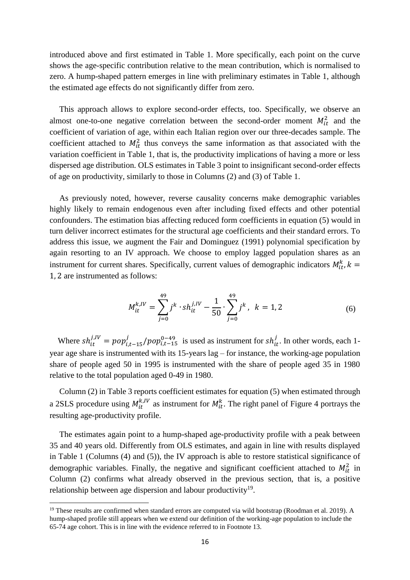introduced above and first estimated in Table 1. More specifically, each point on the curve shows the age-specific contribution relative to the mean contribution, which is normalised to zero. A hump-shaped pattern emerges in line with preliminary estimates in Table 1, although the estimated age effects do not significantly differ from zero.

This approach allows to explore second-order effects, too. Specifically, we observe an almost one-to-one negative correlation between the second-order moment  $M_{it}^2$  and the coefficient of variation of age, within each Italian region over our three-decades sample. The coefficient attached to  $M_{it}^2$  thus conveys the same information as that associated with the variation coefficient in Table 1, that is, the productivity implications of having a more or less dispersed age distribution. OLS estimates in Table 3 point to insignificant second-order effects of age on productivity, similarly to those in Columns (2) and (3) of Table 1.

As previously noted, however, reverse causality concerns make demographic variables highly likely to remain endogenous even after including fixed effects and other potential confounders. The estimation bias affecting reduced form coefficients in equation (5) would in turn deliver incorrect estimates for the structural age coefficients and their standard errors. To address this issue, we augment the Fair and Dominguez (1991) polynomial specification by again resorting to an IV approach. We choose to employ lagged population shares as an instrument for current shares. Specifically, current values of demographic indicators  $M_{it}^k$ ,  $k =$ 1, 2 are instrumented as follows:

$$
M_{it}^{k,IV} = \sum_{j=0}^{49} j^k \cdot sh_{it}^{j,IV} - \frac{1}{50} \cdot \sum_{j=0}^{49} j^k, \ k = 1,2
$$
 (6)

Where  $sh_{it}^{j,IV} = pop_{i,t-15}^j / pop_{i,t-15}^{0-49}$  is used as instrument for  $sh_{it}^j$ . In other words, each 1year age share is instrumented with its 15-years lag – for instance, the working-age population share of people aged 50 in 1995 is instrumented with the share of people aged 35 in 1980 relative to the total population aged 0-49 in 1980.

Column (2) in Table 3 reports coefficient estimates for equation (5) when estimated through a 2SLS procedure using  $M_{it}^{k,IV}$  as instrument for  $M_{it}^k$ . The right panel of Figure 4 portrays the resulting age-productivity profile.

The estimates again point to a hump-shaped age-productivity profile with a peak between 35 and 40 years old. Differently from OLS estimates, and again in line with results displayed in Table 1 (Columns (4) and (5)), the IV approach is able to restore statistical significance of demographic variables. Finally, the negative and significant coefficient attached to  $M_{it}^2$  in Column (2) confirms what already observed in the previous section, that is, a positive relationship between age dispersion and labour productivity<sup>19</sup>.

 $\overline{a}$ 

<sup>&</sup>lt;sup>19</sup> These results are confirmed when standard errors are computed via wild bootstrap (Roodman et al. 2019). A hump-shaped profile still appears when we extend our definition of the working-age population to include the 65-74 age cohort. This is in line with the evidence referred to in Footnote 13.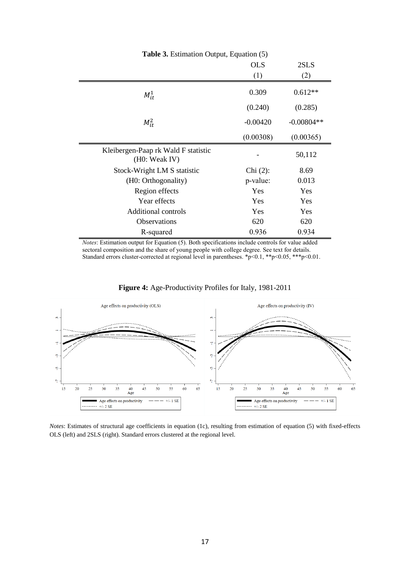| <b>Table 3.</b> Estimation Output, Equation (5)      |            |              |  |  |
|------------------------------------------------------|------------|--------------|--|--|
|                                                      | <b>OLS</b> | 2SLS         |  |  |
|                                                      | (1)        | (2)          |  |  |
| $M_{it}^1$                                           | 0.309      | $0.612**$    |  |  |
|                                                      | (0.240)    | (0.285)      |  |  |
| $M_{it}^2$                                           | $-0.00420$ | $-0.00804**$ |  |  |
|                                                      | (0.00308)  | (0.00365)    |  |  |
| Kleibergen-Paap rk Wald F statistic<br>(H0: Weak IV) |            | 50,112       |  |  |
| Stock-Wright LM S statistic                          | $Chi(2)$ : | 8.69         |  |  |
| (H0: Orthogonality)                                  | p-value:   | 0.013        |  |  |
| Region effects                                       | Yes        | Yes          |  |  |
| Year effects                                         | Yes        | Yes          |  |  |
| Additional controls                                  | Yes        | Yes          |  |  |
| <b>Observations</b>                                  | 620        | 620          |  |  |
| R-squared                                            | 0.936      | 0.934        |  |  |

*Notes*: Estimation output for Equation (5). Both specifications include controls for value added sectoral composition and the share of young people with college degree. See text for details. Standard errors cluster-corrected at regional level in parentheses. \*p<0.1, \*\*p<0.05, \*\*\*p<0.01.



**Figure 4:** Age-Productivity Profiles for Italy, 1981-2011

*Notes*: Estimates of structural age coefficients in equation (1c), resulting from estimation of equation (5) with fixed-effects OLS (left) and 2SLS (right). Standard errors clustered at the regional level.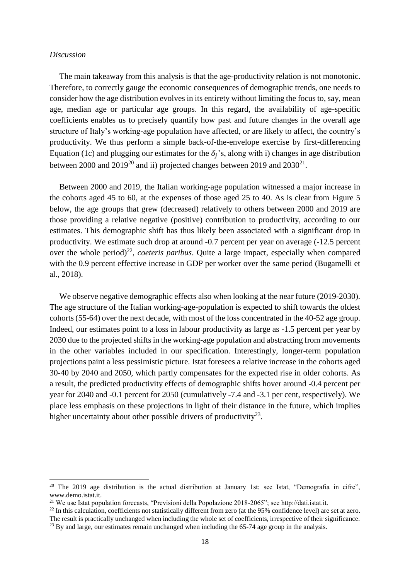#### *Discussion*

**.** 

The main takeaway from this analysis is that the age-productivity relation is not monotonic. Therefore, to correctly gauge the economic consequences of demographic trends, one needs to consider how the age distribution evolves in its entirety without limiting the focus to, say, mean age, median age or particular age groups. In this regard, the availability of age-specific coefficients enables us to precisely quantify how past and future changes in the overall age structure of Italy's working-age population have affected, or are likely to affect, the country's productivity. We thus perform a simple back-of-the-envelope exercise by first-differencing Equation (1c) and plugging our estimates for the  $\delta_j$ 's, along with i) changes in age distribution between 2000 and 2019<sup>20</sup> and ii) projected changes between 2019 and  $2030^{21}$ .

Between 2000 and 2019, the Italian working-age population witnessed a major increase in the cohorts aged 45 to 60, at the expenses of those aged 25 to 40. As is clear from Figure 5 below, the age groups that grew (decreased) relatively to others between 2000 and 2019 are those providing a relative negative (positive) contribution to productivity, according to our estimates. This demographic shift has thus likely been associated with a significant drop in productivity. We estimate such drop at around -0.7 percent per year on average (-12.5 percent over the whole period)<sup>22</sup>, *coeteris paribus*. Quite a large impact, especially when compared with the 0.9 percent effective increase in GDP per worker over the same period (Bugamelli et al., 2018).

We observe negative demographic effects also when looking at the near future (2019-2030). The age structure of the Italian working-age-population is expected to shift towards the oldest cohorts (55-64) over the next decade, with most of the loss concentrated in the 40-52 age group. Indeed, our estimates point to a loss in labour productivity as large as -1.5 percent per year by 2030 due to the projected shifts in the working-age population and abstracting from movements in the other variables included in our specification. Interestingly, longer-term population projections paint a less pessimistic picture. Istat foresees a relative increase in the cohorts aged 30-40 by 2040 and 2050, which partly compensates for the expected rise in older cohorts. As a result, the predicted productivity effects of demographic shifts hover around -0.4 percent per year for 2040 and -0.1 percent for 2050 (cumulatively -7.4 and -3.1 per cent, respectively). We place less emphasis on these projections in light of their distance in the future, which implies higher uncertainty about other possible drivers of productivity<sup>23</sup>.

<sup>&</sup>lt;sup>20</sup> The 2019 age distribution is the actual distribution at January 1st; see Istat, "Demografia in cifre", www.demo.istat.it.

<sup>21</sup> We use Istat population forecasts, "Previsioni della Popolazione 2018-2065"; see http://dati.istat.it.

 $^{22}$  In this calculation, coefficients not statistically different from zero (at the 95% confidence level) are set at zero. The result is practically unchanged when including the whole set of coefficients, irrespective of their significance.

<sup>&</sup>lt;sup>23</sup> By and large, our estimates remain unchanged when including the 65-74 age group in the analysis.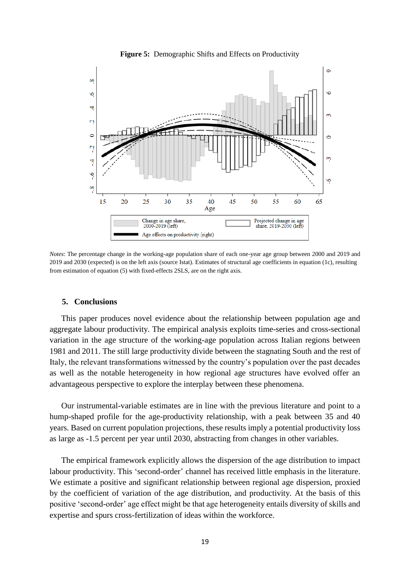

**Figure 5:** Demographic Shifts and Effects on Productivity

*Notes*: The percentage change in the working-age population share of each one-year age group between 2000 and 2019 and 2019 and 2030 (expected) is on the left axis (source Istat). Estimates of structural age coefficients in equation (1c), resulting from estimation of equation (5) with fixed-effects 2SLS, are on the right axis.

#### **5. Conclusions**

This paper produces novel evidence about the relationship between population age and aggregate labour productivity. The empirical analysis exploits time-series and cross-sectional variation in the age structure of the working-age population across Italian regions between 1981 and 2011. The still large productivity divide between the stagnating South and the rest of Italy, the relevant transformations witnessed by the country's population over the past decades as well as the notable heterogeneity in how regional age structures have evolved offer an advantageous perspective to explore the interplay between these phenomena.

Our instrumental-variable estimates are in line with the previous literature and point to a hump-shaped profile for the age-productivity relationship, with a peak between 35 and 40 years. Based on current population projections, these results imply a potential productivity loss as large as -1.5 percent per year until 2030, abstracting from changes in other variables.

The empirical framework explicitly allows the dispersion of the age distribution to impact labour productivity. This 'second-order' channel has received little emphasis in the literature. We estimate a positive and significant relationship between regional age dispersion, proxied by the coefficient of variation of the age distribution, and productivity. At the basis of this positive 'second-order' age effect might be that age heterogeneity entails diversity of skills and expertise and spurs cross-fertilization of ideas within the workforce.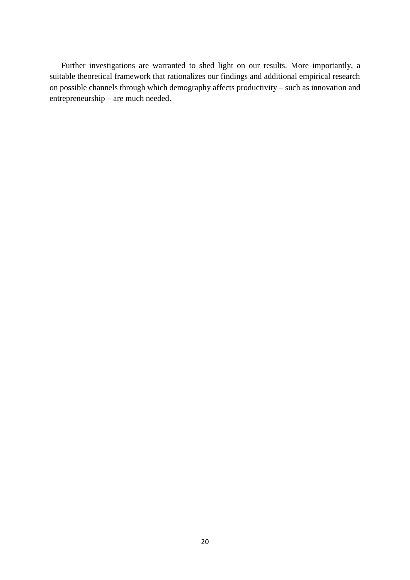Further investigations are warranted to shed light on our results. More importantly, a suitable theoretical framework that rationalizes our findings and additional empirical research on possible channels through which demography affects productivity – such as innovation and entrepreneurship – are much needed.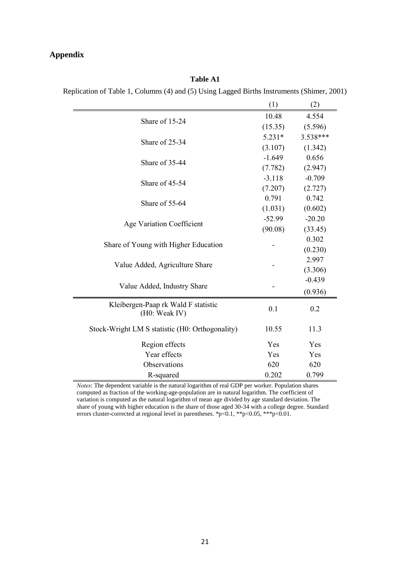#### **Appendix**

**Table A1** Replication of Table 1, Columns (4) and (5) Using Lagged Births Instruments (Shimer, 2001)

|                                                      | (1)      | (2)      |
|------------------------------------------------------|----------|----------|
| Share of 15-24                                       | 10.48    | 4.554    |
|                                                      | (15.35)  | (5.596)  |
| Share of 25-34                                       | $5.231*$ | 3.538*** |
|                                                      | (3.107)  | (1.342)  |
| Share of 35-44                                       | $-1.649$ | 0.656    |
|                                                      | (7.782)  | (2.947)  |
| Share of 45-54                                       | $-3.118$ | $-0.709$ |
|                                                      | (7.207)  | (2.727)  |
| Share of 55-64                                       | 0.791    | 0.742    |
|                                                      | (1.031)  | (0.602)  |
| Age Variation Coefficient                            | $-52.99$ | $-20.20$ |
|                                                      | (90.08)  | (33.45)  |
| Share of Young with Higher Education                 |          | 0.302    |
|                                                      |          | (0.230)  |
| Value Added, Agriculture Share                       |          | 2.997    |
|                                                      |          | (3.306)  |
| Value Added, Industry Share                          |          | $-0.439$ |
|                                                      |          | (0.936)  |
| Kleibergen-Paap rk Wald F statistic<br>(H0: Weak IV) | 0.1      | 0.2      |
| Stock-Wright LM S statistic (H0: Orthogonality)      | 10.55    | 11.3     |
| Region effects                                       | Yes      | Yes      |
| Year effects                                         | Yes      | Yes      |
| Observations                                         | 620      | 620      |
| R-squared                                            | 0.202    | 0.799    |

*Notes*: The dependent variable is the natural logarithm of real GDP per worker. Population shares computed as fraction of the working-age-population are in natural logarithm. The coefficient of variation is computed as the natural logarithm of mean age divided by age standard deviation. The share of young with higher education is the share of those aged 30-34 with a college degree. Standard errors cluster-corrected at regional level in parentheses. \*p<0.1, \*\*p<0.05, \*\*\*p<0.01.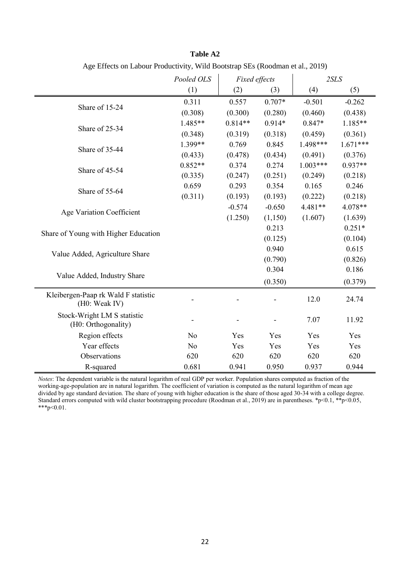|                                                      | Pooled OLS     | Fixed effects |          | 2SLS       |            |
|------------------------------------------------------|----------------|---------------|----------|------------|------------|
|                                                      | (1)            | (2)           | (3)      | (4)        | (5)        |
| Share of 15-24                                       | 0.311          | 0.557         | $0.707*$ | $-0.501$   | $-0.262$   |
|                                                      | (0.308)        | (0.300)       | (0.280)  | (0.460)    | (0.438)    |
| Share of 25-34                                       | 1.485**        | $0.814**$     | $0.914*$ | $0.847*$   | $1.185**$  |
|                                                      | (0.348)        | (0.319)       | (0.318)  | (0.459)    | (0.361)    |
| Share of 35-44                                       | 1.399**        | 0.769         | 0.845    | 1.498***   | $1.671***$ |
|                                                      | (0.433)        | (0.478)       | (0.434)  | (0.491)    | (0.376)    |
| Share of 45-54                                       | $0.852**$      | 0.374         | 0.274    | $1.003***$ | $0.937**$  |
|                                                      | (0.335)        | (0.247)       | (0.251)  | (0.249)    | (0.218)    |
| Share of 55-64                                       | 0.659          | 0.293         | 0.354    | 0.165      | 0.246      |
|                                                      | (0.311)        | (0.193)       | (0.193)  | (0.222)    | (0.218)    |
| Age Variation Coefficient                            |                | $-0.574$      | $-0.650$ | 4.481**    | 4.078**    |
|                                                      |                | (1.250)       | (1,150)  | (1.607)    | (1.639)    |
| Share of Young with Higher Education                 |                |               | 0.213    |            | $0.251*$   |
|                                                      |                |               | (0.125)  |            | (0.104)    |
| Value Added, Agriculture Share                       |                |               | 0.940    |            | 0.615      |
|                                                      |                |               | (0.790)  |            | (0.826)    |
|                                                      |                |               | 0.304    |            | 0.186      |
| Value Added, Industry Share                          |                |               | (0.350)  |            | (0.379)    |
| Kleibergen-Paap rk Wald F statistic<br>(H0: Weak IV) |                |               |          | 12.0       | 24.74      |
| Stock-Wright LM S statistic<br>(H0: Orthogonality)   |                |               |          | 7.07       | 11.92      |
| Region effects                                       | N <sub>o</sub> | Yes           | Yes      | Yes        | Yes        |
| Year effects                                         | N <sub>o</sub> | Yes           | Yes      | Yes        | Yes        |
| Observations                                         | 620            | 620           | 620      | 620        | 620        |
| R-squared                                            | 0.681          | 0.941         | 0.950    | 0.937      | 0.944      |

**Table A2** Age Effects on Labour Productivity, Wild Bootstrap SEs (Roodman et al., 2019)

*Notes*: The dependent variable is the natural logarithm of real GDP per worker. Population shares computed as fraction of the working-age-population are in natural logarithm. The coefficient of variation is computed as the natural logarithm of mean age divided by age standard deviation. The share of young with higher education is the share of those aged 30-34 with a college degree. Standard errors computed with wild cluster bootstrapping procedure (Roodman et al., 2019) are in parentheses. \*p<0.1, \*\*p<0.05, \*\*\*p<0.01.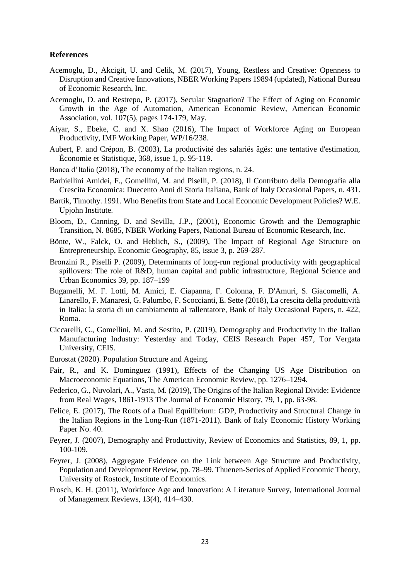#### **References**

- Acemoglu, D., Akcigit, U. and Celik, M. (2017), Young, Restless and Creative: Openness to Disruption and Creative Innovations, NBER Working Papers 19894 (updated), National Bureau of Economic Research, Inc.
- Acemoglu, D. and Restrepo, P. (2017), Secular Stagnation? The Effect of Aging on Economic Growth in the Age of Automation, American Economic Review, American Economic Association, vol. 107(5), pages 174-179, May.
- Aiyar, S., Ebeke, C. and X. Shao (2016), The Impact of Workforce Aging on European Productivity, IMF Working Paper, WP/16/238.
- Aubert, P. and Crépon, B. (2003), La productivité des salariés âgés: une tentative d'estimation, Économie et Statistique, 368, issue 1, p. 95-119.
- Banca d'Italia (2018), The economy of the Italian regions, n. 24.
- Barbiellini Amidei, F., Gomellini, M. and Piselli, P. (2018), Il Contributo della Demografia alla Crescita Economica: Duecento Anni di Storia Italiana, Bank of Italy Occasional Papers, n. 431.
- Bartik, Timothy. 1991. Who Benefits from State and Local Economic Development Policies? W.E. Upjohn Institute.
- Bloom, D., Canning, D. and Sevilla, J.P., (2001), Economic Growth and the Demographic Transition, N. 8685, NBER Working Papers, National Bureau of Economic Research, Inc.
- Bönte, W., Falck, O. and Heblich, S., (2009), The Impact of Regional Age Structure on Entrepreneurship, Economic Geography, 85, issue 3, p. 269-287.
- Bronzini R., Piselli P. (2009), Determinants of long-run regional productivity with geographical spillovers: The role of R&D, human capital and public infrastructure, Regional Science and Urban Economics 39, pp. 187–199
- Bugamelli, M. F. Lotti, M. Amici, E. Ciapanna, F. Colonna, F. D'Amuri, S. Giacomelli, A. Linarello, F. Manaresi, G. Palumbo, F. Scoccianti, E. Sette (2018), La crescita della produttività in Italia: la storia di un cambiamento al rallentatore, Bank of Italy Occasional Papers, n. 422, Roma.
- Ciccarelli, C., Gomellini, M. and Sestito, P. (2019), Demography and Productivity in the Italian Manufacturing Industry: Yesterday and Today, CEIS Research Paper 457, Tor Vergata University, CEIS.
- Eurostat (2020). Population Structure and Ageing.
- Fair, R., and K. Dominguez (1991), Effects of the Changing US Age Distribution on Macroeconomic Equations, The American Economic Review, pp. 1276–1294.
- Federico, G., Nuvolari, A., Vasta, M. (2019), The Origins of the Italian Regional Divide: Evidence from Real Wages, 1861-1913 The Journal of Economic History, 79, 1, pp. 63-98.
- Felice, E. (2017), The Roots of a Dual Equilibrium: GDP, Productivity and Structural Change in the Italian Regions in the Long-Run (1871-2011). Bank of Italy Economic History Working Paper No. 40.
- Feyrer, J. (2007), Demography and Productivity, Review of Economics and Statistics, 89, 1, pp. 100-109.
- Feyrer, J. (2008), Aggregate Evidence on the Link between Age Structure and Productivity, Population and Development Review, pp. 78–99. Thuenen-Series of Applied Economic Theory, University of Rostock, Institute of Economics.
- Frosch, K. H. (2011), Workforce Age and Innovation: A Literature Survey, International Journal of Management Reviews, 13(4), 414–430.